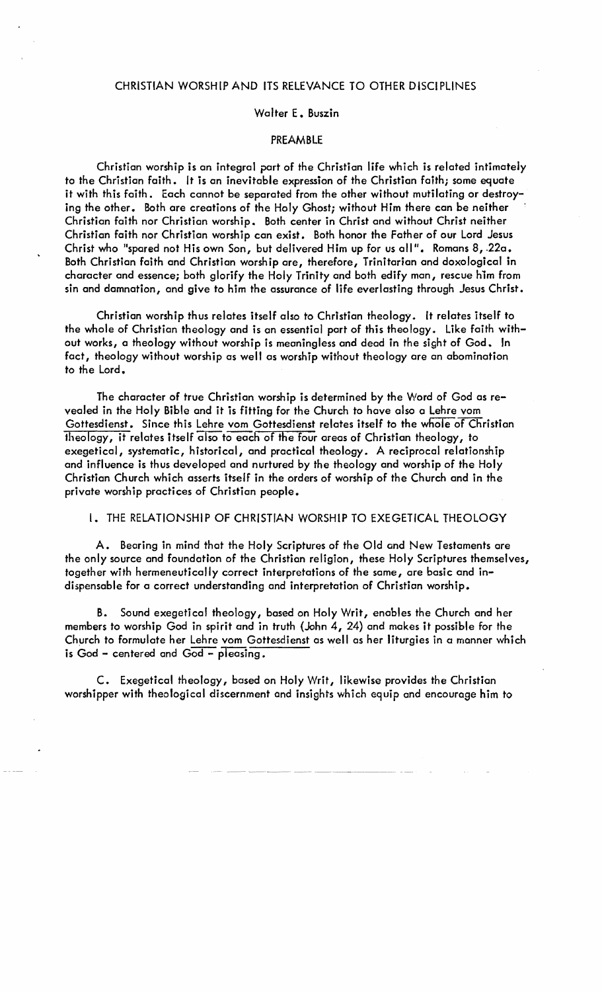## CHRiSTIAN WORSHIP AND ITS RELEVANCE TO OTHER DISCIPLINES

## Walter E. Buszin

#### PREAMBLE

Christian worship is an integral port of the Christian life which is related intimately to the Christian faith. It is an inevitable expressian of the Christian faith; some equate it with this faith. Each cannot be separated from the other without mutilating or destroying the other. Both are creations of the Holy Ghost; without Him there can be neither Christian faith nor Christian worship. Both center in Christ and without Christ neither Christian faith nor Christian worship can exist. Both honor the Father of our Lord Jesus Christ wha "spared not His own San, but delivered Him up for us oil". Romans 8, .22a. Both Christian faith and Christian worship are, therefore, Trinitarian and doxological in character and essence; both glorify the Holy Trinity and both edify man, rescue him from sin and damnation, and give to him the assurance of life everlasting through Jesus Christ.

Christian worship thus relotes itself also to Christian theology. It relates itself to the whale of Christian theology and is an essential part of this theo logy. Like faith without works, a theology without worship is meaningless and dead in the sight of God. In fact, theology without worship as well as worship without theology are an abomination to the Lord.

The character of true Christian worship is determined by the Word of God os revealed in the Holy Bible and it is fitting for the Church to have also a Lehre vom Gottesdienst. Since this Lehre vom Gottesdienst relates itself to the whole of Christian theology, it relates itself also to each of the four areas of Christian theology, to exegetical, systematic, historical, and practical theology. A reciprocal relationship and influence is thus developed and nurtured by the theology and worship of the Holy Christian Church which asserts itself in the orders of worship of the Church and in the private worship practices of Christian people.

#### 1. THE RELATIONSHIP OF CHRISTIAN WORSHIP TO EXEGETICAL THEOLOGY

A. Bearing in mind that the Holy Scriptures of the Old and New Testaments are the only source and foundation of the Christian religion, these Holy Scriptures themselves, together with hermeneutically correct interpretations of the same, are basic and indispensable for a correct understanding and interpretation of Christian worship.

B. Sound exegetical theology, based on Holy Writ, enables the Church and her members to worship God in spirit and in truth (John 4, 24) and makes it possible for the Church to formulote her Lehre vom Gottesdienst as well as her liturgies in a manner which is God - centered and God - pleasing.

C. Exegetical theology, based on Holy Writ, likewise provides the Christian worshipper with theological discernment and insights which equip and encourage him to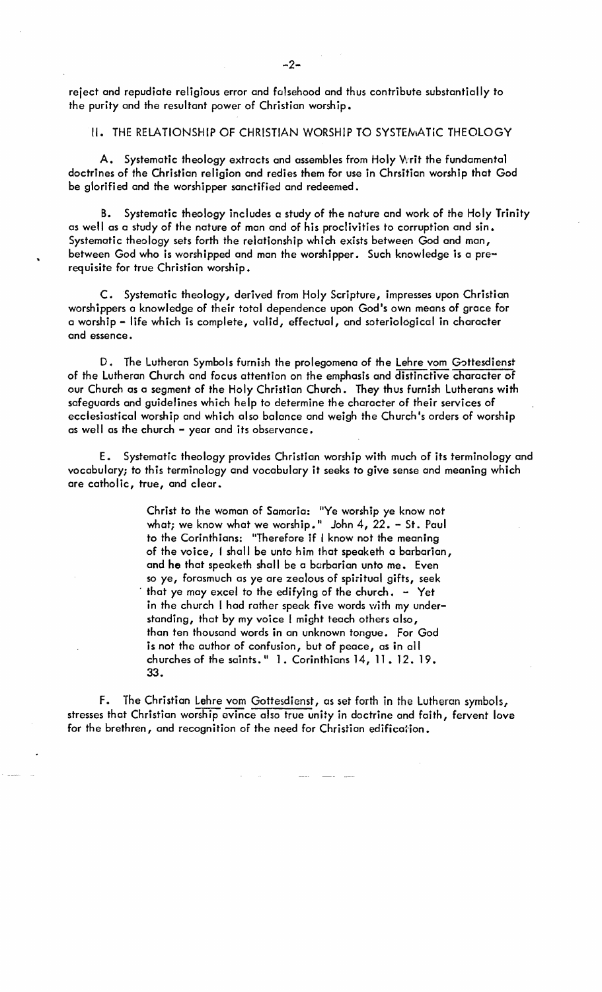reject and repudiate religious error and falsehood and thus contribute substantially to the purity and the resultant power of Christian worship.

## II. THE RELATIONSHIP OF CHRISTIAN WORSHIP TO SYSTEMATIC THEOLOGY

A. Systematic theology extracts and assembles from Holy Writ the fundamental doctrines of the Christian religion and redies them for use in Chrsitian worship that God be glorified and the worshipper sanctified and redeemed.

B. Systematic theology includes a study of the nature and work of the Holy Trinity as well as a study of the nature of man and of his proclivities to corruption and sin. Systematic theology sets forth the relationship which exists between God and man, between God who is worshipped and man the worshipper. Such knowledge is a prerequisite for true Christian worship.

C. Systematic theology, derived from Holy Scripture, impresses upon Christian worshippers a knowledge of their total dependence upon God's own means of grace for a worship - life which is complete, valid, effectual, and soteriol6gical in character and essence.

D. The Lutheran Symbols furnish the prolegomena of the Lehre vom Gottesdienst of the Lutheran Church and focus attention on the emphasis and distinctive character of our Church as a segment of the Holy Christian Church. They thus furnish Lutherans with safeguards and guidelines which help to determine the character of their services of ecclesiastical worship and which also balance and weigh the Church's orders of worship as well as the church - year and its observance.

E. Systematic theology provides Christian worship with much of its terminology and vocabulary; to this terminology and vocabulary it seeks to give sense and meaning which are catholic, true, and clear.

> Christ to the woman of Samaria: "Ye worship ye know not what; we know what we worship." John  $4$ ,  $22. -$  St. Paul to the Corinthians: "Therefore if I know not the meaning of the voice, f shall be unto him that speaketh a barbarian, and he that speaketh shall be a barbarian unto me. Even so ye, forasmuch as ye are zealous of spiritual gifts, seek that ye may excel to the edifying of the church.  $-$  Yet in the church I had rather speak five words with my understanding, that by my voice I might teach others also, than ten thousand words in an unknown tongue. For God is not the author of confusion, but of peace, as in all churches of the saints. " 1. Corinthians 14, 11. 12. 19. 33.

F. The Christian Lehre vom Gottesdienst, as set forth in the Lutheran symbols, stresses that Christian worship evince also true unity in doctrine and faith, fervent love for the brethren, and recognition of the need for Christian edification.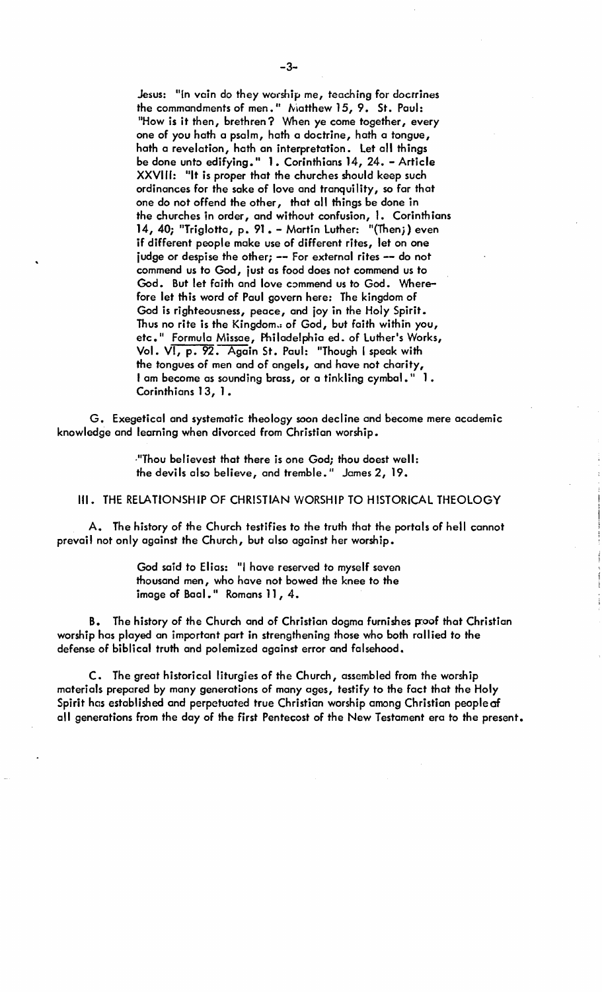Jesus: "In vain do they worship me, teaching for doctrines the commandments of men." Niatthew 15, 9. St. Paul: "How is it then, brethren? When ye come together, every one of you hath a psalm, hath a doctrine, hath a tongue, hath a revelation, hath an interpretation. Let all things be done unto edifying\_" 1. Corinthians 14, 24. - Article XXVIII: "It is proper that the churches should keep such ordinances for the sake of love and tranquility, so far that one do not offend the other, that all things be done in the churches in order, and without confusion, 1. Corinthians 14, 40; "Triglotta, p. 91 • - Martin Luther: "(Thenj) even if different people make use of different rites, let on one judge or despise the other; -- For external rites -- do not commend us to God, just as food does not commend us to God. But let faith and love commend us to God. Wherefore let this word of Paul govern here: The kingdom of God is righteousness, peace, and joy in the Holy Spirit .. Thus no rite is the Kingdom.; of God, but faith within you, etc." Formula Missae, Philadelphia ed. of Luther's Works, Vol. VI, p. 92. Again St. Paul: "Though I speak with the tongues of men and of angels, and have not charity, I am become as sounding brass, or a tinkling cymbal." 1. Corinthians 13, 1.

G. Exegetical and systematic theology soon decline and become mere academic knowledge and learning when divorced from Christian worship •

> .IIThou believest that there is one Godj thou doest well: the devils also believe, and tremble." James 2, 19.

III. THE RELATIONSHIP OF CHRISTIAN WORSHIP TO HISTORICAL THEOLOGY

A. The history of the Church testifies to the truth that the portals of hell cannot prevail not only against the Church, but also against her worship.

> God said to Elias: "I have reserved to myself seven thousand men, who have not bowed the knee to the image of Baal." Romans 11, 4.

B. The history of the Church and of Christian dogma furnishes p:oof that Christian worship has played an important part in strengthening those who both rallied to the defense of biblical truth and polemized against error and falsehood.

C. The great historical liturgies of the Church, assembled from the worship materials prepared by many generations of many ages, testify to the fact that the Holy Spirit has established and perpetuated true Christian worship among Christian people of all generations from the day of the first Pentecost of the New Testament era to the present.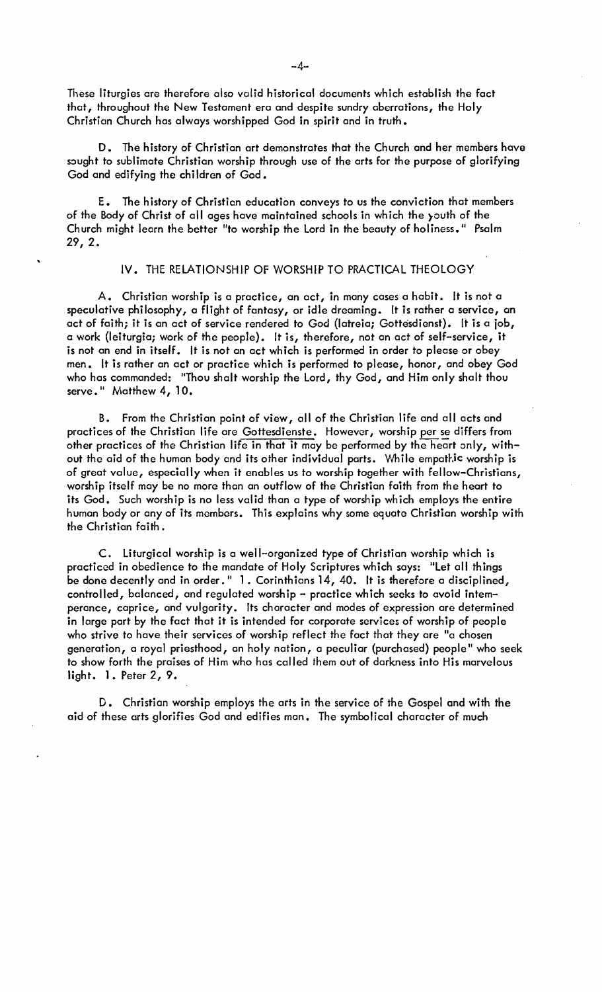These liturgies are therefore also valid historical documents which establish the fact that, throughout the New Testament era and despite sundry aberrations, the Holy Christian Church has always worshipped God in spirit and in truth.

D. The history of Christian art demonstrates that the Church and her members have sought to sublimate Christian worship through use of the arts for the purpose of glorifying God and edifying the children of God.

E. The history of Christian education conveys to us the conviction that members of the Body of Christ of all ages have maintained schools in which the }outh of the Church might learn the better "to worship the Lord in the beauty of holiness." Psalm 29, 2.

# IV. THE RELATIONSHIP OF WORSHIP TO PRACTICAL THEOLOGY

A. Christian worship is a practice, an act, in many cases a habit. It is not a speculative philosophy, a flight of fantasy, or idle dreaming. It is rather a service, an act of faith; it is an act of service rendered to God (Iotreia; Gottesdienst). It is a job, a work (Ieiturgia; work of the people). It is, therefore, not an act of self-service, it is not an end in itself. It is not an act which is performed in order to please or obey men. It is rather an act or practice which is performed to please, honor, and obey God who has commanded: "Thou shalt worship the Lord, thy God, and Him only shalt thou serve." Matthew 4, 10.

B. From the Christian paint of view, all of the Christian life and all acts and practices of the Christian life are Gottesdienste. However, worship per se differs from other practices of the Christian life in that it may be performed by the heart only, without the aid of the human body and its other individual parts. While empathic worship is of great value, especially when it enables us to worship together with fellow-Christians, worship itself may be no more than an outflow of the Christian faith from the heart to its God. Such worship is no less valid than a type of worship which employs the entire human body or any of its members. This explains why some equate Christian worship with the Christian faith.

c. liturgical worship is a well-organized type of Christian worship which is practiced in obedience to the mandate of Holy Scriptures which says: "let all things be done decently and in order." 1. Corinthians 14, 40. It is therefore a disciplined, controlled, balanced, and regulated worship - practice which seeks to avoid intemperance, caprice, and vulgarity. Its character and modes of expression are determined in large part by the fact that it is intended for corporate services of worship of people who strive to have their services of worship reflect the fact that they are "a chosen generation, a royal priesthood, an holy nation, a peculiar (purchased) people" who seek to show forth the praises of Him who has called them out of darkness into His marvelous light. 1. Peter 2, 9.

D. Christian worship employs the arts in the service of the Gospel and with the aid of these arts glorifies God and edifies man. The symbolical character of much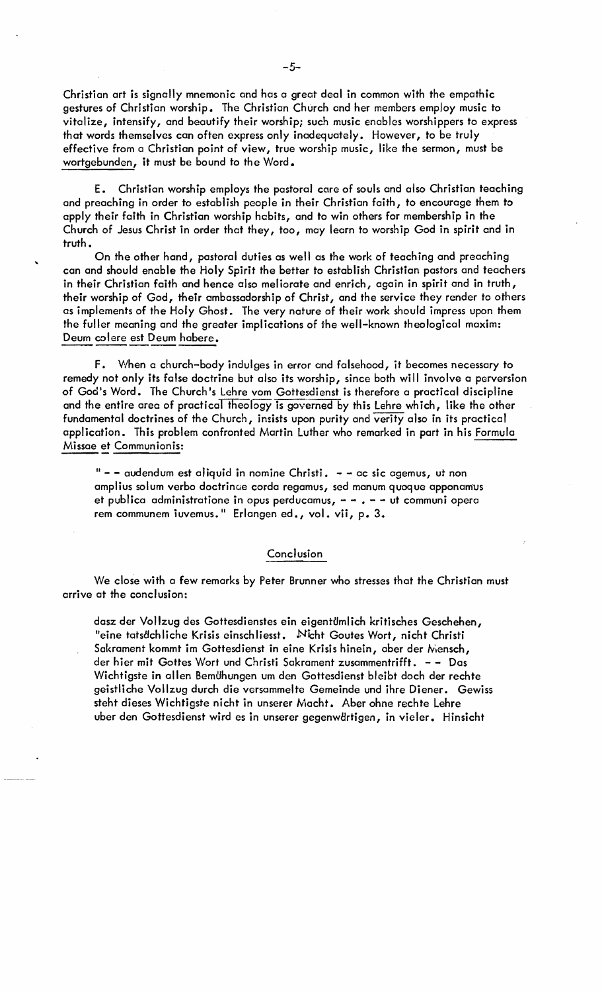Christian art is signally mnemonic and has a great deal in common with the empathic gestures of Christian worship. The Christian Church and her members employ music to vitalize, intensify, and beautify their worship; such music enables worshippers to express that words themselves can often express only inadequately. However, to be truly effective from a Christian point of view, true worship music, like the sermon, must be wortgebunden, it must be bound to the Word.

E. Christian worship employs the pastoral core of souls and also Christian teaching and preaching in order to establish people in their Christian faith, to encourage them to apply their faith in Christian worship habits, and to win others for membership in the Church of Jesus Christ in order that they, too, may learn to worship God in spirit and in truth.

On the other hand, pastoral duties as well as the work of teaching and preaching can and should enable the Holy Spirit the better to establish Christian pastors and teachers in their Christian faith and hence also meliorate and enrich, again in spirit and in truth, their worship of God, their ambassadorship of Christ, and the service they render to others as implements of the Holy Ghost. The very nature of their work should impress upon them the fuller meaning and the greater implications of the well-known theological maxim: Deum colere est Deum habere.

F. When a church-body indulges in error and falsehood, it becomes necessary to remedy not only its false doctrine but also its worship, since both will involve a perversion of God's Word. The Church's Lehre vom Gottesdienst is therefore a practical discipline and the entire area of practical theology is governed by this Lehre which, like the other fundamental doctrines of the Church, insists upon purity and verity also in its practical application. This problem confronted Martin Luther who remarked in part in his Formula Missae et Communion is:

 $"$  - - audendum est aliquid in nomine Christi.  $-$  - ac sic agemus, ut non amplius solum verbo doctrinae corda regamus, sed manum quoque apponamus et publica administratione in opus perducamus,  $- -$ .  $- -$  ut communi opera rem communem iuvemus." Erlangen ed., vol. vii, p. 3.

## **Conclusion**

We close with a few remarks by Peter Brunner who stresses that the Christian must arrive at the canclusion:

dasz der Vollzug des Gottesdienstes ein eigentümlich kritisches Geschehen, "eine tatsdchliche Krisis einschliesst. Nicht Goutes Wort, nicht Christi Sakrament kommt im Gottesdienst in eine Krisis hinein, aber der Mensch, der hier mit Gottes Wort und Christi Sakrament zusammentrifft. - - Das Wichtigste in allen Bemühungen um den Gottesdienst bleibt doch der rechte geistliche Vollzug durch die versammelte Gemeinde und ihre Diener. Gewiss steht dieses Wichtigste nicht in unserer Macht. Aber ohne rechte Lehre uber den Gottesdienst wird es in unserer gegenwärtigen, in vieler. Hinsicht